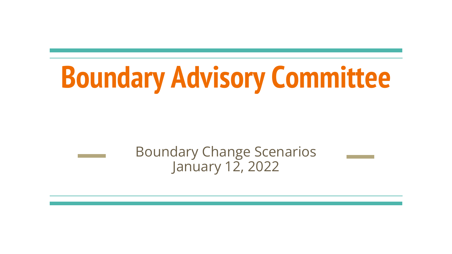# **Boundary Advisory Committee**

Boundary Change Scenarios January 12, 2022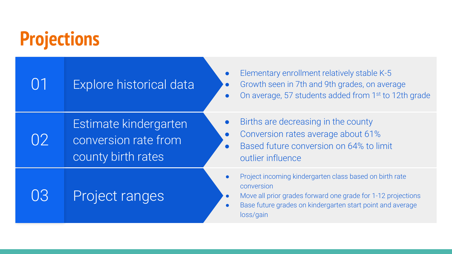# **Projections**

|                              | Explore historical data                                             | Elementary enrollment relatively stable K-5<br>Growth seen in 7th and 9th grades, on average<br>$\bullet$<br>On average, 57 students added from 1st to 12th grade                                                                          |
|------------------------------|---------------------------------------------------------------------|--------------------------------------------------------------------------------------------------------------------------------------------------------------------------------------------------------------------------------------------|
| $\left( \frac{1}{2} \right)$ | Estimate kindergarten<br>conversion rate from<br>county birth rates | Births are decreasing in the county<br>Conversion rates average about 61%<br>Based future conversion on 64% to limit<br>outlier influence                                                                                                  |
| 03                           | Project ranges                                                      | Project incoming kindergarten class based on birth rate<br>conversion<br>Move all prior grades forward one grade for 1-12 projections<br>$\bullet$<br>Base future grades on kindergarten start point and average<br>$\bullet$<br>loss/gain |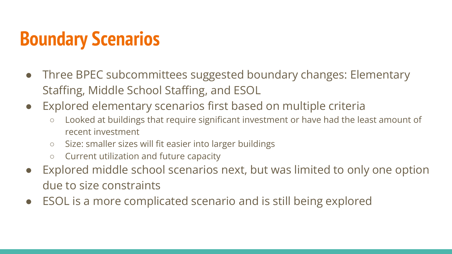- Three BPEC subcommittees suggested boundary changes: Elementary Staffing, Middle School Staffing, and ESOL
- Explored elementary scenarios first based on multiple criteria
	- Looked at buildings that require significant investment or have had the least amount of recent investment
	- Size: smaller sizes will fit easier into larger buildings
	- Current utilization and future capacity
- Explored middle school scenarios next, but was limited to only one option due to size constraints
- ESOL is a more complicated scenario and is still being explored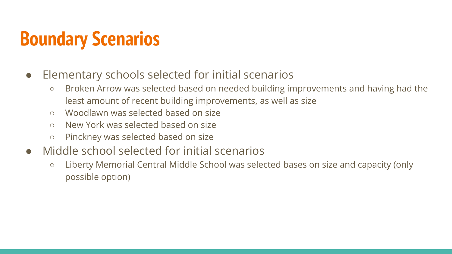- Elementary schools selected for initial scenarios
	- Broken Arrow was selected based on needed building improvements and having had the least amount of recent building improvements, as well as size
	- Woodlawn was selected based on size
	- New York was selected based on size
	- Pinckney was selected based on size
- Middle school selected for initial scenarios
	- Liberty Memorial Central Middle School was selected bases on size and capacity (only possible option)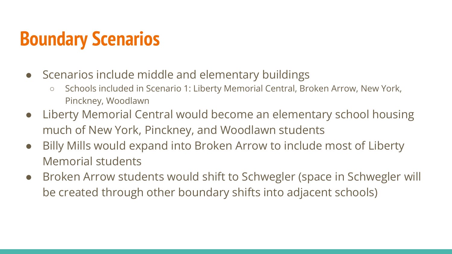- Scenarios include middle and elementary buildings
	- Schools included in Scenario 1: Liberty Memorial Central, Broken Arrow, New York, Pinckney, Woodlawn
- Liberty Memorial Central would become an elementary school housing much of New York, Pinckney, and Woodlawn students
- Billy Mills would expand into Broken Arrow to include most of Liberty Memorial students
- Broken Arrow students would shift to Schwegler (space in Schwegler will be created through other boundary shifts into adjacent schools)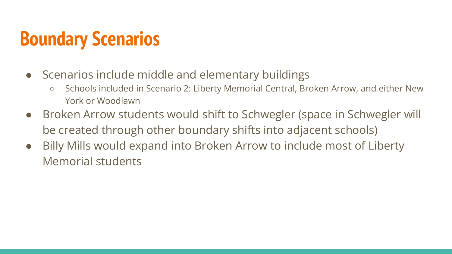- Scenarios include middle and elementary buildings
	- Schools included in Scenario 2: Liberty Memorial Central, Broken Arrow, and either New York or Woodlawn
- Broken Arrow students would shift to Schwegler (space in Schwegler will be created through other boundary shifts into adjacent schools)
- Billy Mills would expand into Broken Arrow to include most of Liberty Memorial students